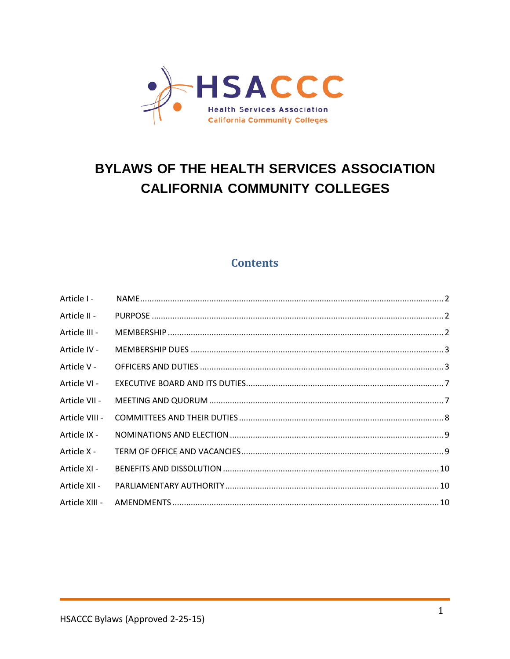

# **BYLAWS OF THE HEALTH SERVICES ASSOCIATION CALIFORNIA COMMUNITY COLLEGES**

# **Contents**

| Article I -    |  |
|----------------|--|
| Article II -   |  |
| Article III -  |  |
| Article IV -   |  |
| Article V -    |  |
| Article VI -   |  |
| Article VII -  |  |
| Article VIII - |  |
| Article IX -   |  |
| Article X -    |  |
| Article XI -   |  |
| Article XII -  |  |
| Article XIII - |  |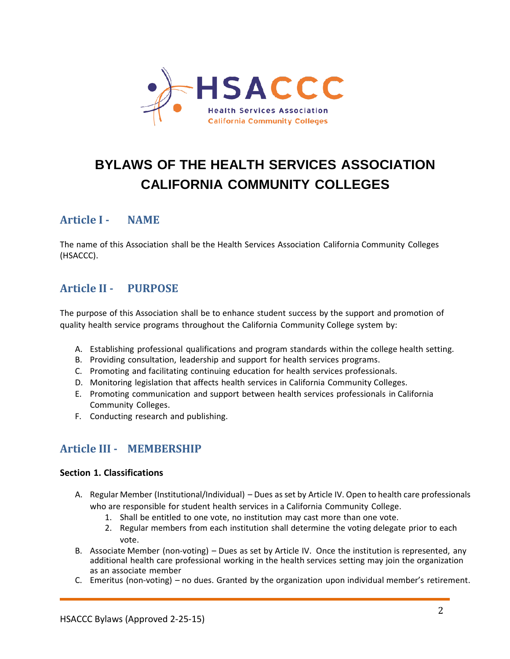

# **BYLAWS OF THE HEALTH SERVICES ASSOCIATION CALIFORNIA COMMUNITY COLLEGES**

# <span id="page-1-0"></span>**Article I - NAME**

The name of this Association shall be the Health Services Association California Community Colleges (HSACCC).

# <span id="page-1-1"></span>**Article II - PURPOSE**

The purpose of this Association shall be to enhance student success by the support and promotion of quality health service programs throughout the California Community College system by:

- A. Establishing professional qualifications and program standards within the college health setting.
- B. Providing consultation, leadership and support for health services programs.
- C. Promoting and facilitating continuing education for health services professionals.
- D. Monitoring legislation that affects health services in California Community Colleges.
- E. Promoting communication and support between health services professionals in California Community Colleges.
- <span id="page-1-2"></span>F. Conducting research and publishing.

# **Article III - MEMBERSHIP**

### **Section 1. Classifications**

- A. Regular Member (Institutional/Individual) Dues as set by Article IV. Open to health care professionals who are responsible for student health services in a California Community College.
	- 1. Shall be entitled to one vote, no institution may cast more than one vote.
	- 2. Regular members from each institution shall determine the voting delegate prior to each vote.
- B. Associate Member (non-voting) Dues as set by Article IV. Once the institution is represented, any additional health care professional working in the health services setting may join the organization as an associate member
- C. Emeritus (non-voting) no dues. Granted by the organization upon individual member's retirement.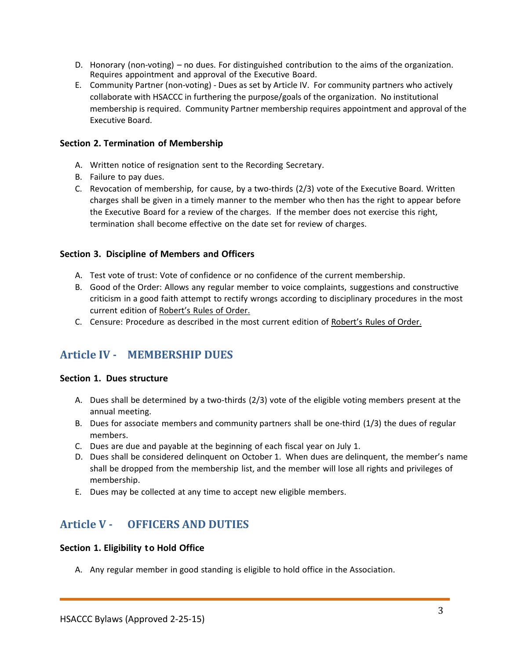- D. Honorary (non-voting) no dues. For distinguished contribution to the aims of the organization. Requires appointment and approval of the Executive Board.
- E. Community Partner (non-voting) Dues as set by Article IV. For community partners who actively collaborate with HSACCC in furthering the purpose/goals of the organization. No institutional membership is required. Community Partner membership requires appointment and approval of the Executive Board.

### **Section 2. Termination of Membership**

- A. Written notice of resignation sent to the Recording Secretary.
- B. Failure to pay dues.
- C. Revocation of membership, for cause, by a two-thirds (2/3) vote of the Executive Board. Written charges shall be given in a timely manner to the member who then has the right to appear before the Executive Board for a review of the charges. If the member does not exercise this right, termination shall become effective on the date set for review of charges.

## **Section 3. Discipline of Members and Officers**

- A. Test vote of trust: Vote of confidence or no confidence of the current membership.
- B. Good of the Order: Allows any regular member to voice complaints, suggestions and constructive criticism in a good faith attempt to rectify wrongs according to disciplinary procedures in the most current edition of Robert's Rules of Order.
- <span id="page-2-0"></span>C. Censure: Procedure as described in the most current edition of Robert's Rules of Order.

# **Article IV - MEMBERSHIP DUES**

### **Section 1. Dues structure**

- A. Dues shall be determined by a two-thirds (2/3) vote of the eligible voting members present at the annual meeting.
- B. Dues for associate members and community partners shall be one-third (1/3) the dues of regular members.
- C. Dues are due and payable at the beginning of each fiscal year on July 1.
- D. Dues shall be considered delinquent on October 1. When dues are delinquent, the member's name shall be dropped from the membership list, and the member will lose all rights and privileges of membership.
- <span id="page-2-1"></span>E. Dues may be collected at any time to accept new eligible members.

# **Article V - OFFICERS AND DUTIES**

### **Section 1. Eligibility to Hold Office**

A. Any regular member in good standing is eligible to hold office in the Association.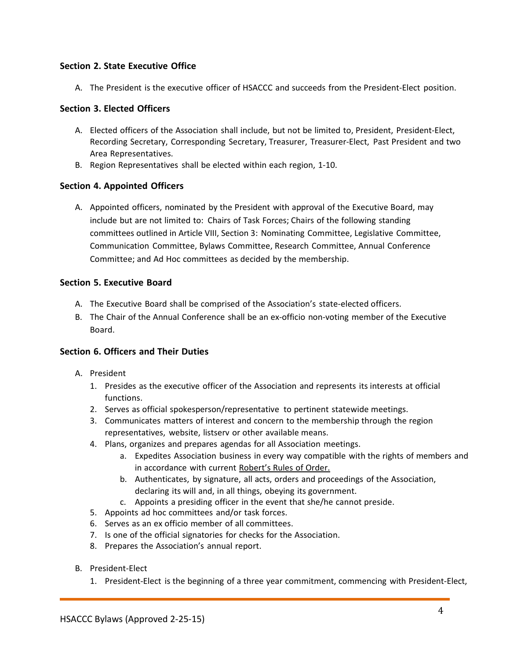### **Section 2. State Executive Office**

A. The President is the executive officer of HSACCC and succeeds from the President-Elect position.

### **Section 3. Elected Officers**

- A. Elected officers of the Association shall include, but not be limited to, President, President-Elect, Recording Secretary, Corresponding Secretary, Treasurer, Treasurer-Elect, Past President and two Area Representatives.
- B. Region Representatives shall be elected within each region, 1-10.

### **Section 4. Appointed Officers**

A. Appointed officers, nominated by the President with approval of the Executive Board, may include but are not limited to: Chairs of Task Forces; Chairs of the following standing committees outlined in Article VIII, Section 3: Nominating Committee, Legislative Committee, Communication Committee, Bylaws Committee, Research Committee, Annual Conference Committee; and Ad Hoc committees as decided by the membership.

### **Section 5. Executive Board**

- A. The Executive Board shall be comprised of the Association's state-elected officers.
- B. The Chair of the Annual Conference shall be an ex-officio non-voting member of the Executive Board.

### **Section 6. Officers and Their Duties**

- A. President
	- 1. Presides as the executive officer of the Association and represents its interests at official functions.
	- 2. Serves as official spokesperson/representative to pertinent statewide meetings.
	- 3. Communicates matters of interest and concern to the membership through the region representatives, website, listserv or other available means.
	- 4. Plans, organizes and prepares agendas for all Association meetings.
		- a. Expedites Association business in every way compatible with the rights of members and in accordance with current Robert's Rules of Order.
		- b. Authenticates, by signature, all acts, orders and proceedings of the Association, declaring its will and, in all things, obeying its government.
		- c. Appoints a presiding officer in the event that she/he cannot preside.
	- 5. Appoints ad hoc committees and/or task forces.
	- 6. Serves as an ex officio member of all committees.
	- 7. Is one of the official signatories for checks for the Association.
	- 8. Prepares the Association's annual report.
- B. President-Elect
	- 1. President-Elect is the beginning of a three year commitment, commencing with President-Elect,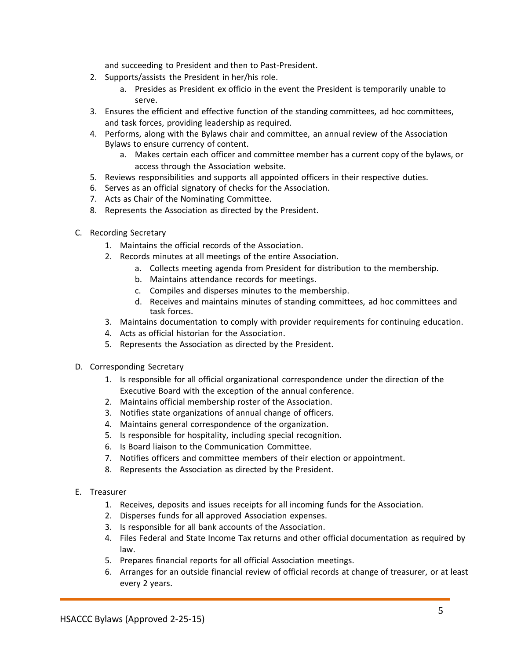and succeeding to President and then to Past-President.

- 2. Supports/assists the President in her/his role.
	- a. Presides as President ex officio in the event the President is temporarily unable to serve.
- 3. Ensures the efficient and effective function of the standing committees, ad hoc committees, and task forces, providing leadership as required.
- 4. Performs, along with the Bylaws chair and committee, an annual review of the Association Bylaws to ensure currency of content.
	- a. Makes certain each officer and committee member has a current copy of the bylaws, or access through the Association website.
- 5. Reviews responsibilities and supports all appointed officers in their respective duties.
- 6. Serves as an official signatory of checks for the Association.
- 7. Acts as Chair of the Nominating Committee.
- 8. Represents the Association as directed by the President.
- C. Recording Secretary
	- 1. Maintains the official records of the Association.
	- 2. Records minutes at all meetings of the entire Association.
		- a. Collects meeting agenda from President for distribution to the membership.
		- b. Maintains attendance records for meetings.
		- c. Compiles and disperses minutes to the membership.
		- d. Receives and maintains minutes of standing committees, ad hoc committees and task forces.
	- 3. Maintains documentation to comply with provider requirements for continuing education.
	- 4. Acts as official historian for the Association.
	- 5. Represents the Association as directed by the President.
- D. Corresponding Secretary
	- 1. Is responsible for all official organizational correspondence under the direction of the Executive Board with the exception of the annual conference.
	- 2. Maintains official membership roster of the Association.
	- 3. Notifies state organizations of annual change of officers.
	- 4. Maintains general correspondence of the organization.
	- 5. Is responsible for hospitality, including special recognition.
	- 6. Is Board liaison to the Communication Committee.
	- 7. Notifies officers and committee members of their election or appointment.
	- 8. Represents the Association as directed by the President.
- E. Treasurer
	- 1. Receives, deposits and issues receipts for all incoming funds for the Association.
	- 2. Disperses funds for all approved Association expenses.
	- 3. Is responsible for all bank accounts of the Association.
	- 4. Files Federal and State Income Tax returns and other official documentation as required by law.
	- 5. Prepares financial reports for all official Association meetings.
	- 6. Arranges for an outside financial review of official records at change of treasurer, or at least every 2 years.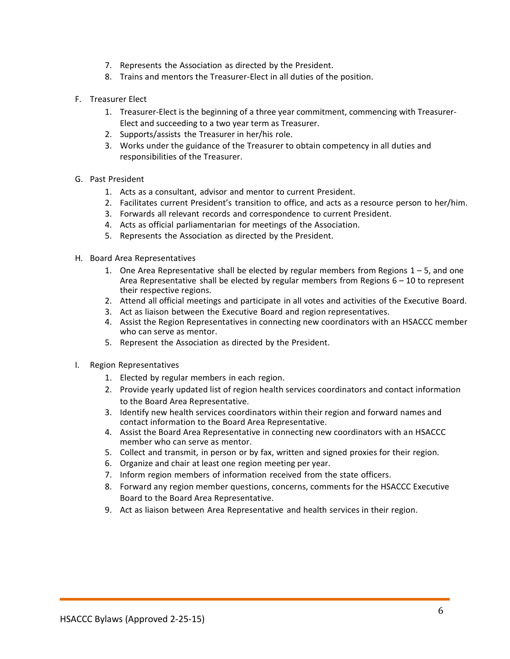- 7. Represents the Association as directed by the President.
- 8. Trains and mentors the Treasurer-Elect in all duties of the position.
- F. Treasurer Elect
	- 1. Treasurer-Elect is the beginning of a three year commitment, commencing with Treasurer-Elect and succeeding to a two year term as Treasurer.
	- 2. Supports/assists the Treasurer in her/his role.
	- 3. Works under the guidance of the Treasurer to obtain competency in all duties and responsibilities of the Treasurer.
- G. Past President
	- 1. Acts as a consultant, advisor and mentor to current President.
	- 2. Facilitates current President's transition to office, and acts as a resource person to her/him.
	- 3. Forwards all relevant records and correspondence to current President.
	- 4. Acts as official parliamentarian for meetings of the Association.
	- 5. Represents the Association as directed by the President.
- H. Board Area Representatives
	- 1. One Area Representative shall be elected by regular members from Regions  $1 5$ , and one Area Representative shall be elected by regular members from Regions  $6 - 10$  to represent their respective regions.
	- 2. Attend all official meetings and participate in all votes and activities of the Executive Board.
	- 3. Act as liaison between the Executive Board and region representatives.
	- 4. Assist the Region Representatives in connecting new coordinators with an HSACCC member who can serve as mentor.
	- 5. Represent the Association as directed by the President.
- I. Region Representatives
	- 1. Elected by regular members in each region.
	- 2. Provide yearly updated list of region health services coordinators and contact information to the Board Area Representative.
	- 3. Identify new health services coordinators within their region and forward names and contact information to the Board Area Representative.
	- 4. Assist the Board Area Representative in connecting new coordinators with an HSACCC member who can serve as mentor.
	- 5. Collect and transmit, in person or by fax, written and signed proxies for their region.
	- 6. Organize and chair at least one region meeting per year.
	- 7. Inform region members of information received from the state officers.
	- 8. Forward any region member questions, concerns, comments for the HSACCC Executive Board to the Board Area Representative.
	- 9. Act as liaison between Area Representative and health services in their region.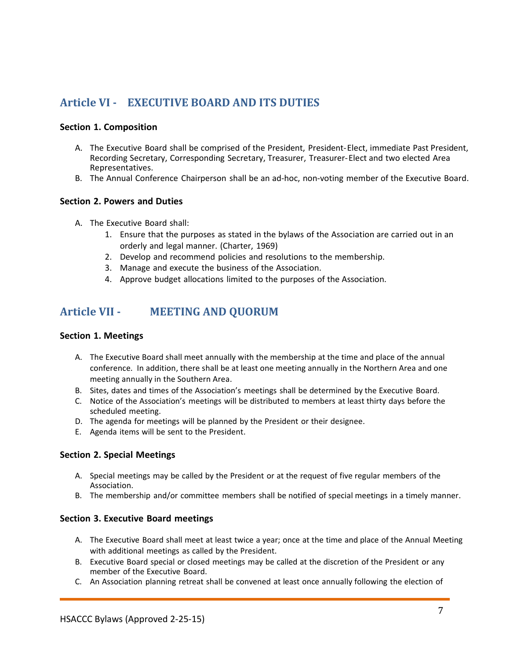# <span id="page-6-0"></span>**Article VI - EXECUTIVE BOARD AND ITS DUTIES**

#### **Section 1. Composition**

- A. The Executive Board shall be comprised of the President, President-Elect, immediate Past President, Recording Secretary, Corresponding Secretary, Treasurer, Treasurer-Elect and two elected Area Representatives.
- B. The Annual Conference Chairperson shall be an ad-hoc, non-voting member of the Executive Board.

### **Section 2. Powers and Duties**

- A. The Executive Board shall:
	- 1. Ensure that the purposes as stated in the bylaws of the Association are carried out in an orderly and legal manner. (Charter, 1969)
	- 2. Develop and recommend policies and resolutions to the membership.
	- 3. Manage and execute the business of the Association.
	- 4. Approve budget allocations limited to the purposes of the Association.

# <span id="page-6-1"></span>**Article VII - MEETING AND QUORUM**

#### **Section 1. Meetings**

- A. The Executive Board shall meet annually with the membership at the time and place of the annual conference. In addition, there shall be at least one meeting annually in the Northern Area and one meeting annually in the Southern Area.
- B. Sites, dates and times of the Association's meetings shall be determined by the Executive Board.
- C. Notice of the Association's meetings will be distributed to members at least thirty days before the scheduled meeting.
- D. The agenda for meetings will be planned by the President or their designee.
- E. Agenda items will be sent to the President.

#### **Section 2. Special Meetings**

- A. Special meetings may be called by the President or at the request of five regular members of the Association.
- B. The membership and/or committee members shall be notified of special meetings in a timely manner.

#### **Section 3. Executive Board meetings**

- A. The Executive Board shall meet at least twice a year; once at the time and place of the Annual Meeting with additional meetings as called by the President.
- B. Executive Board special or closed meetings may be called at the discretion of the President or any member of the Executive Board.
- C. An Association planning retreat shall be convened at least once annually following the election of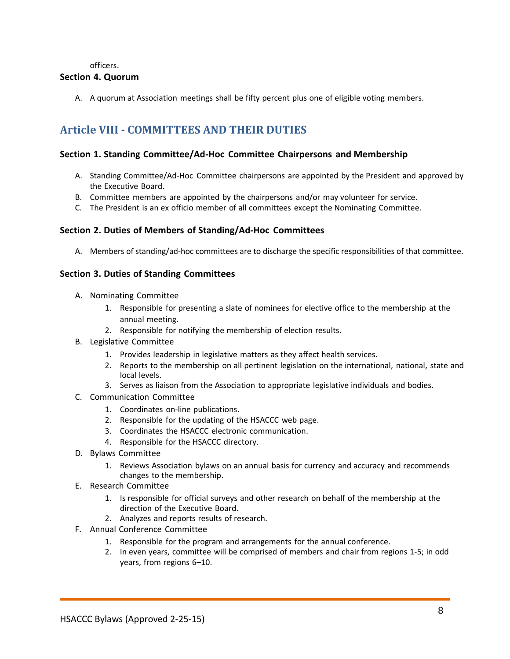officers.

### **Section 4. Quorum**

<span id="page-7-0"></span>A. A quorum at Association meetings shall be fifty percent plus one of eligible voting members.

# **Article VIII - COMMITTEES AND THEIR DUTIES**

#### **Section 1. Standing Committee/Ad-Hoc Committee Chairpersons and Membership**

- A. Standing Committee/Ad-Hoc Committee chairpersons are appointed by the President and approved by the Executive Board.
- B. Committee members are appointed by the chairpersons and/or may volunteer for service.
- C. The President is an ex officio member of all committees except the Nominating Committee.

#### **Section 2. Duties of Members of Standing/Ad-Hoc Committees**

A. Members of standing/ad-hoc committees are to discharge the specific responsibilities of that committee.

#### **Section 3. Duties of Standing Committees**

- A. Nominating Committee
	- 1. Responsible for presenting a slate of nominees for elective office to the membership at the annual meeting.
	- 2. Responsible for notifying the membership of election results.
- B. Legislative Committee
	- 1. Provides leadership in legislative matters as they affect health services.
	- 2. Reports to the membership on all pertinent legislation on the international, national, state and local levels.
	- 3. Serves as liaison from the Association to appropriate legislative individuals and bodies.
- C. Communication Committee
	- 1. Coordinates on-line publications.
	- 2. Responsible for the updating of the HSACCC web page.
	- 3. Coordinates the HSACCC electronic communication.
	- 4. Responsible for the HSACCC directory.
- D. Bylaws Committee
	- 1. Reviews Association bylaws on an annual basis for currency and accuracy and recommends changes to the membership.
- E. Research Committee
	- 1. Is responsible for official surveys and other research on behalf of the membership at the direction of the Executive Board.
	- 2. Analyzes and reports results of research.
- F. Annual Conference Committee
	- 1. Responsible for the program and arrangements for the annual conference.
	- 2. In even years, committee will be comprised of members and chair from regions 1-5; in odd years, from regions 6–10.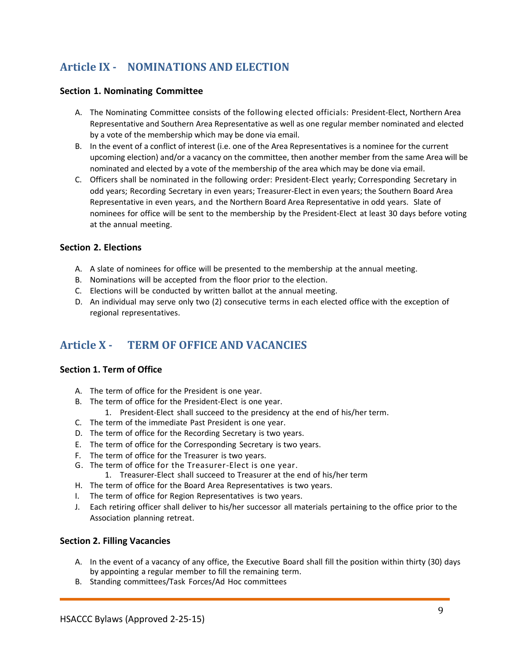# <span id="page-8-0"></span>**Article IX - NOMINATIONS AND ELECTION**

### **Section 1. Nominating Committee**

- A. The Nominating Committee consists of the following elected officials: President-Elect, Northern Area Representative and Southern Area Representative as well as one regular member nominated and elected by a vote of the membership which may be done via email.
- B. In the event of a conflict of interest (i.e. one of the Area Representatives is a nominee for the current upcoming election) and/or a vacancy on the committee, then another member from the same Area will be nominated and elected by a vote of the membership of the area which may be done via email.
- C. Officers shall be nominated in the following order: President-Elect yearly; Corresponding Secretary in odd years; Recording Secretary in even years; Treasurer-Elect in even years; the Southern Board Area Representative in even years, and the Northern Board Area Representative in odd years. Slate of nominees for office will be sent to the membership by the President-Elect at least 30 days before voting at the annual meeting.

### **Section 2. Elections**

- A. A slate of nominees for office will be presented to the membership at the annual meeting.
- B. Nominations will be accepted from the floor prior to the election.
- C. Elections will be conducted by written ballot at the annual meeting.
- D. An individual may serve only two (2) consecutive terms in each elected office with the exception of regional representatives.

# <span id="page-8-1"></span>**Article X - TERM OF OFFICE AND VACANCIES**

#### **Section 1. Term of Office**

- A. The term of office for the President is one year.
- B. The term of office for the President-Elect is one year.
	- 1. President-Elect shall succeed to the presidency at the end of his/her term.
- C. The term of the immediate Past President is one year.
- D. The term of office for the Recording Secretary is two years.
- E. The term of office for the Corresponding Secretary is two years.
- F. The term of office for the Treasurer is two years.
- G. The term of office for the Treasurer-Elect is one year.
	- 1. Treasurer-Elect shall succeed to Treasurer at the end of his/her term
- H. The term of office for the Board Area Representatives is two years.
- I. The term of office for Region Representatives is two years.
- J. Each retiring officer shall deliver to his/her successor all materials pertaining to the office prior to the Association planning retreat.

#### **Section 2. Filling Vacancies**

- A. In the event of a vacancy of any office, the Executive Board shall fill the position within thirty (30) days by appointing a regular member to fill the remaining term.
- B. Standing committees/Task Forces/Ad Hoc committees